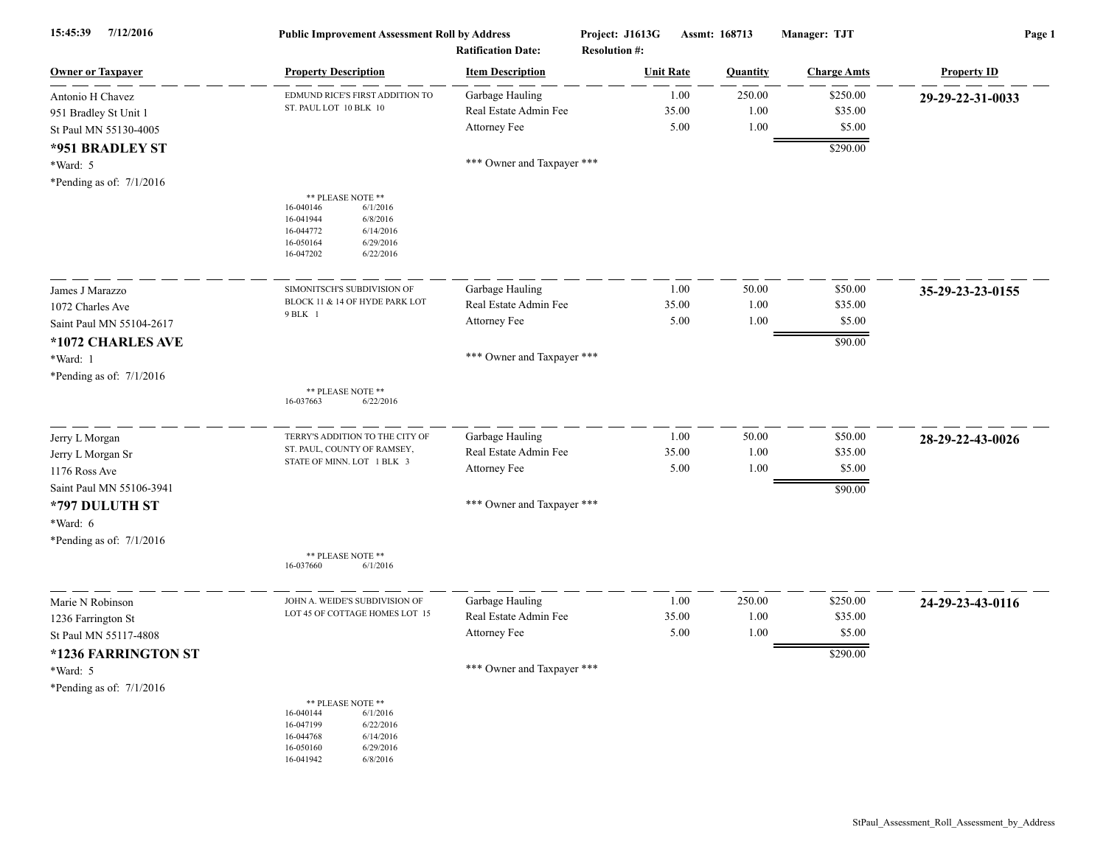| 7/12/2016<br>15:45:39                                                                  |                                                                                                                              | <b>Public Improvement Assessment Roll by Address</b><br><b>Ratification Date:</b> |  | Project: J1613G<br>Assmt: 168713<br><b>Resolution #:</b> |                        | Manager: TJT                              | Page 1             |  |
|----------------------------------------------------------------------------------------|------------------------------------------------------------------------------------------------------------------------------|-----------------------------------------------------------------------------------|--|----------------------------------------------------------|------------------------|-------------------------------------------|--------------------|--|
| <b>Owner or Taxpayer</b>                                                               | <b>Property Description</b>                                                                                                  | <b>Item Description</b>                                                           |  | <b>Unit Rate</b>                                         | Quantity               | <b>Charge Amts</b>                        | <b>Property ID</b> |  |
| Antonio H Chavez<br>951 Bradley St Unit 1<br>St Paul MN 55130-4005                     | EDMUND RICE'S FIRST ADDITION TO<br>ST. PAUL LOT 10 BLK 10                                                                    | Garbage Hauling<br>Real Estate Admin Fee<br>Attorney Fee                          |  | 1.00<br>35.00<br>5.00                                    | 250.00<br>1.00<br>1.00 | \$250.00<br>\$35.00<br>\$5.00             | 29-29-22-31-0033   |  |
| *951 BRADLEY ST<br>*Ward: 5<br>*Pending as of: $7/1/2016$                              | ** PLEASE NOTE **                                                                                                            | *** Owner and Taxpayer ***                                                        |  |                                                          |                        | \$290.00                                  |                    |  |
|                                                                                        | 16-040146<br>6/1/2016<br>16-041944<br>6/8/2016<br>16-044772<br>6/14/2016<br>16-050164<br>6/29/2016<br>16-047202<br>6/22/2016 |                                                                                   |  |                                                          |                        |                                           |                    |  |
| James J Marazzo                                                                        | SIMONITSCH'S SUBDIVISION OF                                                                                                  | Garbage Hauling                                                                   |  | 1.00                                                     | 50.00                  | \$50.00                                   | 35-29-23-23-0155   |  |
| 1072 Charles Ave                                                                       | BLOCK 11 & 14 OF HYDE PARK LOT<br>9 BLK 1                                                                                    | Real Estate Admin Fee<br>Attorney Fee                                             |  | 35.00<br>5.00                                            | 1.00<br>1.00           | \$35.00<br>\$5.00                         |                    |  |
| Saint Paul MN 55104-2617<br>*1072 CHARLES AVE<br>*Ward: 1<br>*Pending as of: 7/1/2016  |                                                                                                                              | *** Owner and Taxpayer ***                                                        |  |                                                          |                        | \$90.00                                   |                    |  |
|                                                                                        | ** PLEASE NOTE **<br>16-037663<br>6/22/2016                                                                                  |                                                                                   |  |                                                          |                        |                                           |                    |  |
| Jerry L Morgan<br>Jerry L Morgan Sr                                                    | TERRY'S ADDITION TO THE CITY OF<br>ST. PAUL, COUNTY OF RAMSEY,                                                               | Garbage Hauling<br>Real Estate Admin Fee                                          |  | 1.00<br>35.00                                            | 50.00<br>1.00          | \$50.00<br>\$35.00                        | 28-29-22-43-0026   |  |
| 1176 Ross Ave<br>Saint Paul MN 55106-3941                                              | STATE OF MINN. LOT 1 BLK 3                                                                                                   | Attorney Fee                                                                      |  | 5.00                                                     | 1.00                   | \$5.00<br>\$90.00                         |                    |  |
| *797 DULUTH ST<br>*Ward: 6<br>*Pending as of: $7/1/2016$                               |                                                                                                                              | *** Owner and Taxpayer ***                                                        |  |                                                          |                        |                                           |                    |  |
|                                                                                        | ** PLEASE NOTE **<br>6/1/2016<br>16-037660                                                                                   |                                                                                   |  |                                                          |                        |                                           |                    |  |
| Marie N Robinson<br>1236 Farrington St<br>St Paul MN 55117-4808<br>*1236 FARRINGTON ST | JOHN A. WEIDE'S SUBDIVISION OF<br>LOT 45 OF COTTAGE HOMES LOT 15                                                             | Garbage Hauling<br>Real Estate Admin Fee<br>Attorney Fee                          |  | 1.00<br>35.00<br>5.00                                    | 250.00<br>1.00<br>1.00 | \$250.00<br>\$35.00<br>\$5.00<br>\$290.00 | 24-29-23-43-0116   |  |
| $*Ward: 5$<br>*Pending as of: $7/1/2016$                                               | ** PLEASE NOTE **                                                                                                            | *** Owner and Taxpayer ***                                                        |  |                                                          |                        |                                           |                    |  |
|                                                                                        | 16-040144<br>6/1/2016<br>16-047199<br>6/22/2016<br>16-044768<br>6/14/2016<br>16-050160<br>6/29/2016<br>16-041942<br>6/8/2016 |                                                                                   |  |                                                          |                        |                                           |                    |  |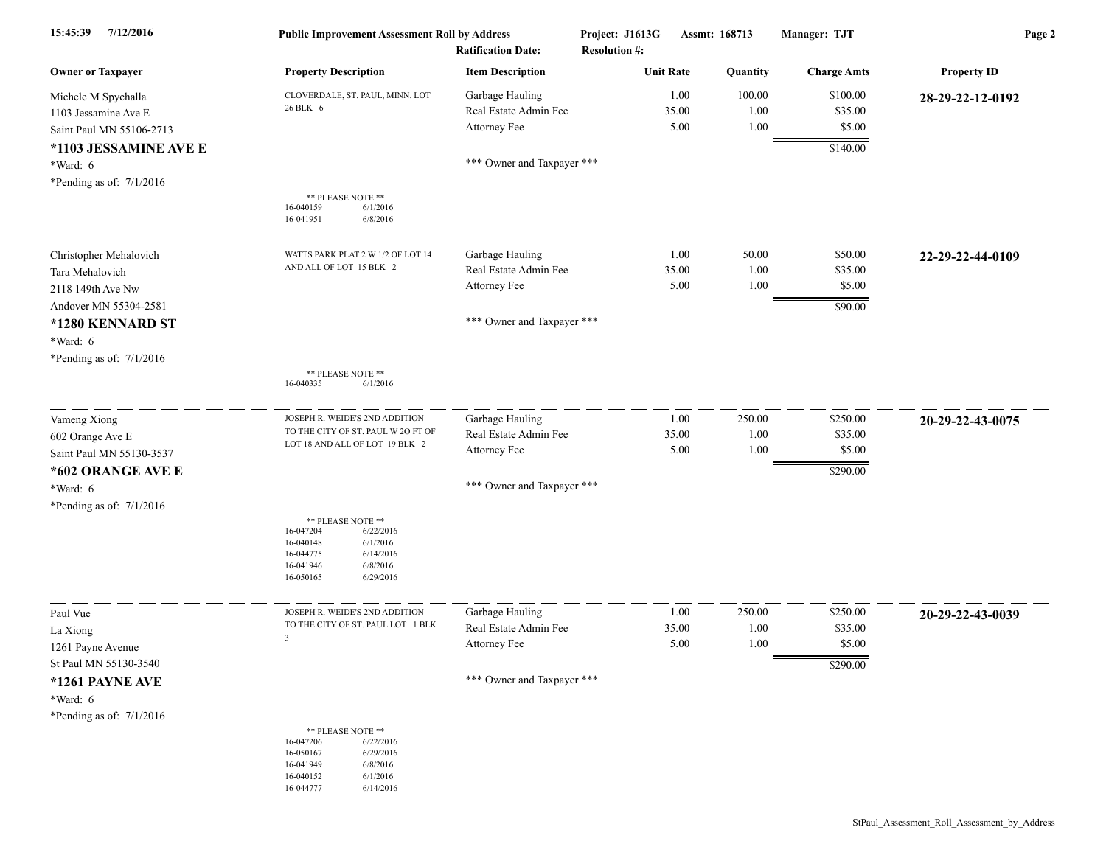| 7/12/2016<br>15:45:39      | <b>Public Improvement Assessment Roll by Address</b><br><b>Ratification Date:</b>                                                                 |                            | Project: J1613G<br>Assmt: 168713<br><b>Resolution #:</b> |                  | Manager: TJT | Page 2             |                    |
|----------------------------|---------------------------------------------------------------------------------------------------------------------------------------------------|----------------------------|----------------------------------------------------------|------------------|--------------|--------------------|--------------------|
| <b>Owner or Taxpayer</b>   | <b>Property Description</b>                                                                                                                       | <b>Item Description</b>    |                                                          | <b>Unit Rate</b> | Quantity     | <b>Charge Amts</b> | <b>Property ID</b> |
| Michele M Spychalla        | CLOVERDALE, ST. PAUL, MINN. LOT                                                                                                                   | Garbage Hauling            |                                                          | 1.00             | 100.00       | \$100.00           | 28-29-22-12-0192   |
| 1103 Jessamine Ave E       | 26 BLK 6                                                                                                                                          | Real Estate Admin Fee      |                                                          | 35.00            | 1.00         | \$35.00            |                    |
| Saint Paul MN 55106-2713   |                                                                                                                                                   | Attorney Fee               |                                                          | 5.00             | 1.00         | \$5.00             |                    |
| *1103 JESSAMINE AVE E      |                                                                                                                                                   |                            |                                                          |                  |              | \$140.00           |                    |
| *Ward: 6                   |                                                                                                                                                   | *** Owner and Taxpayer *** |                                                          |                  |              |                    |                    |
| *Pending as of: $7/1/2016$ |                                                                                                                                                   |                            |                                                          |                  |              |                    |                    |
|                            | ** PLEASE NOTE **<br>6/1/2016<br>16-040159<br>16-041951<br>6/8/2016                                                                               |                            |                                                          |                  |              |                    |                    |
| Christopher Mehalovich     | WATTS PARK PLAT 2 W 1/2 OF LOT 14                                                                                                                 | Garbage Hauling            |                                                          | 1.00             | 50.00        | \$50.00            | 22-29-22-44-0109   |
| Tara Mehalovich            | AND ALL OF LOT 15 BLK 2                                                                                                                           | Real Estate Admin Fee      |                                                          | 35.00            | 1.00         | \$35.00            |                    |
| 2118 149th Ave Nw          |                                                                                                                                                   | Attorney Fee               |                                                          | 5.00             | 1.00         | \$5.00             |                    |
| Andover MN 55304-2581      |                                                                                                                                                   |                            |                                                          |                  |              | \$90.00            |                    |
| *1280 KENNARD ST           |                                                                                                                                                   | *** Owner and Taxpayer *** |                                                          |                  |              |                    |                    |
| *Ward: 6                   |                                                                                                                                                   |                            |                                                          |                  |              |                    |                    |
| *Pending as of: 7/1/2016   |                                                                                                                                                   |                            |                                                          |                  |              |                    |                    |
|                            | ** PLEASE NOTE **<br>6/1/2016<br>16-040335                                                                                                        |                            |                                                          |                  |              |                    |                    |
| Vameng Xiong               | JOSEPH R. WEIDE'S 2ND ADDITION                                                                                                                    | Garbage Hauling            |                                                          | 1.00             | 250.00       | \$250.00           | 20-29-22-43-0075   |
| 602 Orange Ave E           | TO THE CITY OF ST. PAUL W 20 FT OF<br>LOT 18 AND ALL OF LOT 19 BLK 2                                                                              | Real Estate Admin Fee      |                                                          | 35.00            | 1.00         | \$35.00            |                    |
| Saint Paul MN 55130-3537   |                                                                                                                                                   | Attorney Fee               |                                                          | 5.00             | 1.00         | \$5.00             |                    |
| *602 ORANGE AVE E          |                                                                                                                                                   |                            |                                                          |                  |              | \$290.00           |                    |
| *Ward: 6                   |                                                                                                                                                   | *** Owner and Taxpayer *** |                                                          |                  |              |                    |                    |
| *Pending as of: 7/1/2016   |                                                                                                                                                   |                            |                                                          |                  |              |                    |                    |
|                            | ** PLEASE NOTE **<br>16-047204<br>6/22/2016<br>16-040148<br>6/1/2016<br>16-044775<br>6/14/2016<br>16-041946<br>6/8/2016<br>16-050165<br>6/29/2016 |                            |                                                          |                  |              |                    |                    |
| Paul Vue                   | JOSEPH R. WEIDE'S 2ND ADDITION                                                                                                                    | Garbage Hauling            |                                                          | 1.00             | 250.00       | \$250.00           | 20-29-22-43-0039   |
| La Xiong                   | TO THE CITY OF ST. PAUL LOT 1 BLK                                                                                                                 | Real Estate Admin Fee      |                                                          | 35.00            | 1.00         | \$35.00            |                    |
| 1261 Payne Avenue          | $\overline{\mathbf{3}}$                                                                                                                           | Attorney Fee               |                                                          | 5.00             | 1.00         | \$5.00             |                    |
| St Paul MN 55130-3540      |                                                                                                                                                   |                            |                                                          |                  |              | \$290.00           |                    |
| *1261 PAYNE AVE            |                                                                                                                                                   | *** Owner and Taxpayer *** |                                                          |                  |              |                    |                    |
| *Ward: 6                   |                                                                                                                                                   |                            |                                                          |                  |              |                    |                    |
| *Pending as of: $7/1/2016$ |                                                                                                                                                   |                            |                                                          |                  |              |                    |                    |
|                            | ** PLEASE NOTE **<br>16-047206<br>6/22/2016<br>16-050167<br>6/29/2016<br>16-041949<br>6/8/2016<br>16-040152<br>6/1/2016<br>16-044777<br>6/14/2016 |                            |                                                          |                  |              |                    |                    |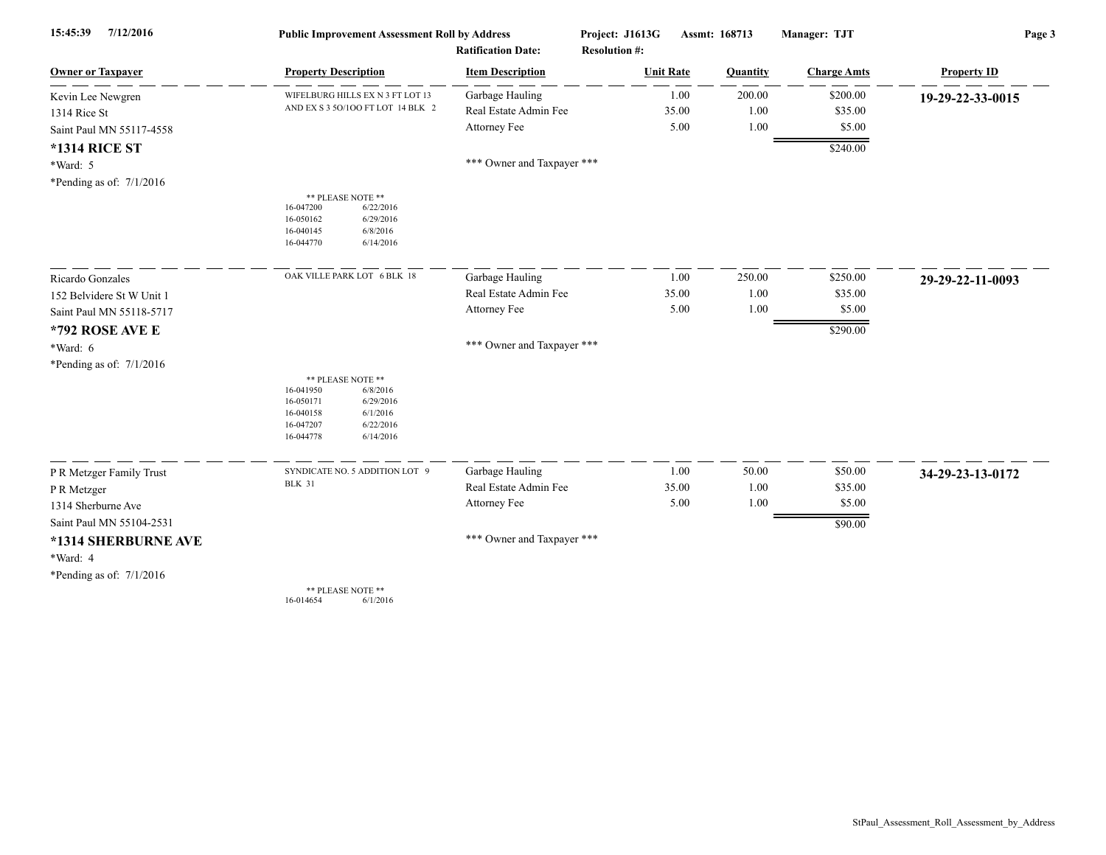| 7/12/2016<br>15:45:39      | <b>Public Improvement Assessment Roll by Address</b>                                                                                              |                            | Project: J1613G<br>Assmt: 168713 |          | Manager: TJT       | Page 3             |  |  |
|----------------------------|---------------------------------------------------------------------------------------------------------------------------------------------------|----------------------------|----------------------------------|----------|--------------------|--------------------|--|--|
|                            |                                                                                                                                                   | <b>Ratification Date:</b>  | <b>Resolution #:</b>             |          |                    |                    |  |  |
| <b>Owner or Taxpayer</b>   | <b>Property Description</b>                                                                                                                       | <b>Item Description</b>    | <b>Unit Rate</b>                 | Quantity | <b>Charge Amts</b> | <b>Property ID</b> |  |  |
| Kevin Lee Newgren          | WIFELBURG HILLS EX N 3 FT LOT 13                                                                                                                  | Garbage Hauling            | 1.00                             | 200.00   | \$200.00           | 19-29-22-33-0015   |  |  |
| 1314 Rice St               | AND EX S 3 50/100 FT LOT 14 BLK 2                                                                                                                 | Real Estate Admin Fee      | 35.00                            | 1.00     | \$35.00            |                    |  |  |
| Saint Paul MN 55117-4558   |                                                                                                                                                   | Attorney Fee               | 5.00                             | 1.00     | \$5.00             |                    |  |  |
| <b>*1314 RICE ST</b>       |                                                                                                                                                   |                            |                                  |          | \$240.00           |                    |  |  |
| $*Ward: 5$                 |                                                                                                                                                   | *** Owner and Taxpayer *** |                                  |          |                    |                    |  |  |
| *Pending as of: $7/1/2016$ |                                                                                                                                                   |                            |                                  |          |                    |                    |  |  |
|                            | ** PLEASE NOTE **<br>16-047200<br>6/22/2016<br>16-050162<br>6/29/2016<br>16-040145<br>6/8/2016<br>16-044770<br>6/14/2016                          |                            |                                  |          |                    |                    |  |  |
| Ricardo Gonzales           | OAK VILLE PARK LOT 6 BLK 18                                                                                                                       | Garbage Hauling            | 1.00                             | 250.00   | \$250.00           | 29-29-22-11-0093   |  |  |
| 152 Belvidere St W Unit 1  |                                                                                                                                                   | Real Estate Admin Fee      | 35.00                            | 1.00     | \$35.00            |                    |  |  |
| Saint Paul MN 55118-5717   |                                                                                                                                                   | Attorney Fee               | 5.00                             | 1.00     | \$5.00             |                    |  |  |
| *792 ROSE AVE E            |                                                                                                                                                   |                            |                                  |          | \$290.00           |                    |  |  |
| $*Ward: 6$                 |                                                                                                                                                   | *** Owner and Taxpayer *** |                                  |          |                    |                    |  |  |
| *Pending as of: $7/1/2016$ |                                                                                                                                                   |                            |                                  |          |                    |                    |  |  |
|                            | ** PLEASE NOTE **<br>16-041950<br>6/8/2016<br>16-050171<br>6/29/2016<br>6/1/2016<br>16-040158<br>6/22/2016<br>16-047207<br>16-044778<br>6/14/2016 |                            |                                  |          |                    |                    |  |  |
| P R Metzger Family Trust   | SYNDICATE NO. 5 ADDITION LOT 9                                                                                                                    | Garbage Hauling            | 1.00                             | 50.00    | \$50.00            | 34-29-23-13-0172   |  |  |
| P R Metzger                | <b>BLK 31</b>                                                                                                                                     | Real Estate Admin Fee      | 35.00                            | 1.00     | \$35.00            |                    |  |  |
| 1314 Sherburne Ave         |                                                                                                                                                   | Attorney Fee               | 5.00                             | 1.00     | \$5.00             |                    |  |  |
| Saint Paul MN 55104-2531   |                                                                                                                                                   |                            |                                  |          | \$90.00            |                    |  |  |
| *1314 SHERBURNE AVE        |                                                                                                                                                   | *** Owner and Taxpayer *** |                                  |          |                    |                    |  |  |
| *Ward: 4                   |                                                                                                                                                   |                            |                                  |          |                    |                    |  |  |
| *Pending as of: $7/1/2016$ |                                                                                                                                                   |                            |                                  |          |                    |                    |  |  |
|                            | ** PLEASE NOTE **                                                                                                                                 |                            |                                  |          |                    |                    |  |  |

16-014654 6/1/2016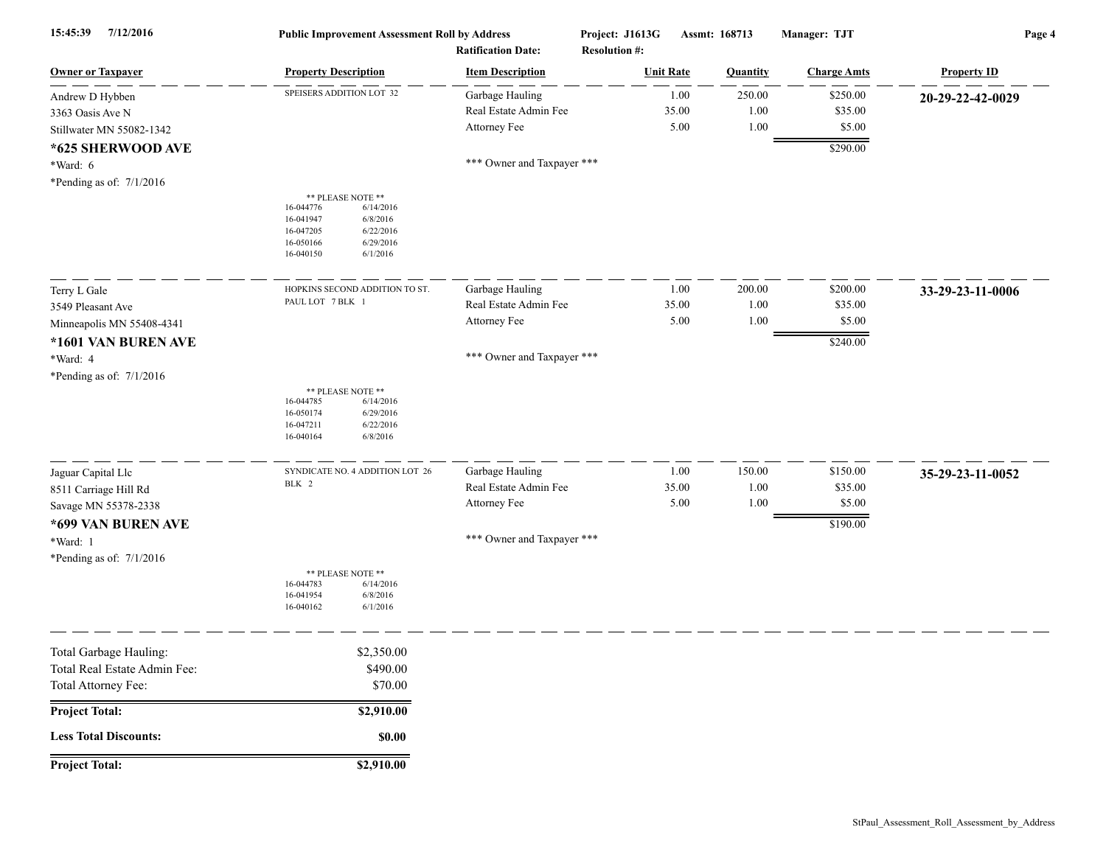| 7/12/2016<br>15:45:39                                                         | <b>Public Improvement Assessment Roll by Address</b><br><b>Ratification Date:</b>                                                                 |                                                          | Project: J1613G<br><b>Resolution #:</b> | Assmt: 168713          | Manager: TJT                  | Page 4             |  |
|-------------------------------------------------------------------------------|---------------------------------------------------------------------------------------------------------------------------------------------------|----------------------------------------------------------|-----------------------------------------|------------------------|-------------------------------|--------------------|--|
| <b>Owner or Taxpayer</b>                                                      | <b>Property Description</b>                                                                                                                       | <b>Item Description</b>                                  | <b>Unit Rate</b>                        | <b>Quantity</b>        | <b>Charge Amts</b>            | <b>Property ID</b> |  |
| Andrew D Hybben<br>3363 Oasis Ave N<br>Stillwater MN 55082-1342               | SPEISERS ADDITION LOT 32                                                                                                                          | Garbage Hauling<br>Real Estate Admin Fee<br>Attorney Fee | 1.00<br>35.00<br>5.00                   | 250.00<br>1.00<br>1.00 | \$250.00<br>\$35.00<br>\$5.00 | 20-29-22-42-0029   |  |
| *625 SHERWOOD AVE<br>*Ward: 6<br>*Pending as of: $7/1/2016$                   |                                                                                                                                                   | *** Owner and Taxpayer ***                               |                                         |                        | \$290.00                      |                    |  |
|                                                                               | ** PLEASE NOTE **<br>16-044776<br>6/14/2016<br>16-041947<br>6/8/2016<br>16-047205<br>6/22/2016<br>16-050166<br>6/29/2016<br>16-040150<br>6/1/2016 |                                                          |                                         |                        |                               |                    |  |
| Terry L Gale<br>3549 Pleasant Ave                                             | HOPKINS SECOND ADDITION TO ST.<br>PAUL LOT 7 BLK 1                                                                                                | Garbage Hauling<br>Real Estate Admin Fee                 | 1.00<br>35.00                           | 200.00<br>1.00         | \$200.00<br>\$35.00           | 33-29-23-11-0006   |  |
| Minneapolis MN 55408-4341<br>*1601 VAN BUREN AVE                              |                                                                                                                                                   | Attorney Fee                                             | 5.00                                    | 1.00                   | \$5.00<br>\$240.00            |                    |  |
| *Ward: 4                                                                      |                                                                                                                                                   | *** Owner and Taxpayer ***                               |                                         |                        |                               |                    |  |
| *Pending as of: $7/1/2016$                                                    |                                                                                                                                                   |                                                          |                                         |                        |                               |                    |  |
|                                                                               | ** PLEASE NOTE **<br>16-044785<br>6/14/2016<br>16-050174<br>6/29/2016<br>16-047211<br>6/22/2016<br>16-040164<br>6/8/2016                          |                                                          |                                         |                        |                               |                    |  |
| Jaguar Capital Llc                                                            | SYNDICATE NO. 4 ADDITION LOT 26<br>BLK 2                                                                                                          | Garbage Hauling                                          | 1.00                                    | 150.00                 | \$150.00                      | 35-29-23-11-0052   |  |
| 8511 Carriage Hill Rd<br>Savage MN 55378-2338                                 |                                                                                                                                                   | Real Estate Admin Fee<br>Attorney Fee                    | 35.00<br>5.00                           | 1.00<br>1.00           | \$35.00<br>\$5.00             |                    |  |
| *699 VAN BUREN AVE                                                            |                                                                                                                                                   |                                                          |                                         |                        | \$190.00                      |                    |  |
| *Ward: 1<br>*Pending as of: $7/1/2016$                                        |                                                                                                                                                   | *** Owner and Taxpayer ***                               |                                         |                        |                               |                    |  |
|                                                                               | ** PLEASE NOTE **<br>16-044783<br>6/14/2016<br>16-041954<br>6/8/2016<br>16-040162<br>6/1/2016                                                     |                                                          |                                         |                        |                               |                    |  |
| Total Garbage Hauling:<br>Total Real Estate Admin Fee:<br>Total Attorney Fee: | \$2,350.00<br>\$490.00<br>\$70.00                                                                                                                 |                                                          |                                         |                        |                               |                    |  |
| Project Total:                                                                | \$2,910.00                                                                                                                                        |                                                          |                                         |                        |                               |                    |  |
| <b>Less Total Discounts:</b>                                                  | \$0.00                                                                                                                                            |                                                          |                                         |                        |                               |                    |  |
| <b>Project Total:</b>                                                         | \$2,910.00                                                                                                                                        |                                                          |                                         |                        |                               |                    |  |